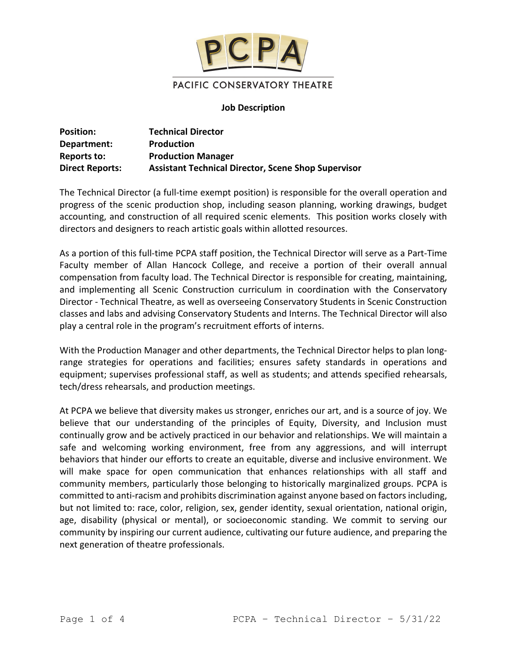

### **Job Description**

| <b>Position:</b>       | <b>Technical Director</b>                                  |
|------------------------|------------------------------------------------------------|
| Department:            | <b>Production</b>                                          |
| Reports to:            | <b>Production Manager</b>                                  |
| <b>Direct Reports:</b> | <b>Assistant Technical Director, Scene Shop Supervisor</b> |

The Technical Director (a full-time exempt position) is responsible for the overall operation and progress of the scenic production shop, including season planning, working drawings, budget accounting, and construction of all required scenic elements. This position works closely with directors and designers to reach artistic goals within allotted resources.

As a portion of this full-time PCPA staff position, the Technical Director will serve as a Part-Time Faculty member of Allan Hancock College, and receive a portion of their overall annual compensation from faculty load. The Technical Director is responsible for creating, maintaining, and implementing all Scenic Construction curriculum in coordination with the Conservatory Director - Technical Theatre, as well as overseeing Conservatory Students in Scenic Construction classes and labs and advising Conservatory Students and Interns. The Technical Director will also play a central role in the program's recruitment efforts of interns.

With the Production Manager and other departments, the Technical Director helps to plan longrange strategies for operations and facilities; ensures safety standards in operations and equipment; supervises professional staff, as well as students; and attends specified rehearsals, tech/dress rehearsals, and production meetings.

At PCPA we believe that diversity makes us stronger, enriches our art, and is a source of joy. We believe that our understanding of the principles of Equity, Diversity, and Inclusion must continually grow and be actively practiced in our behavior and relationships. We will maintain a safe and welcoming working environment, free from any aggressions, and will interrupt behaviors that hinder our efforts to create an equitable, diverse and inclusive environment. We will make space for open communication that enhances relationships with all staff and community members, particularly those belonging to historically marginalized groups. PCPA is committed to anti-racism and prohibits discrimination against anyone based on factors including, but not limited to: race, color, religion, sex, gender identity, sexual orientation, national origin, age, disability (physical or mental), or socioeconomic standing. We commit to serving our community by inspiring our current audience, cultivating our future audience, and preparing the next generation of theatre professionals.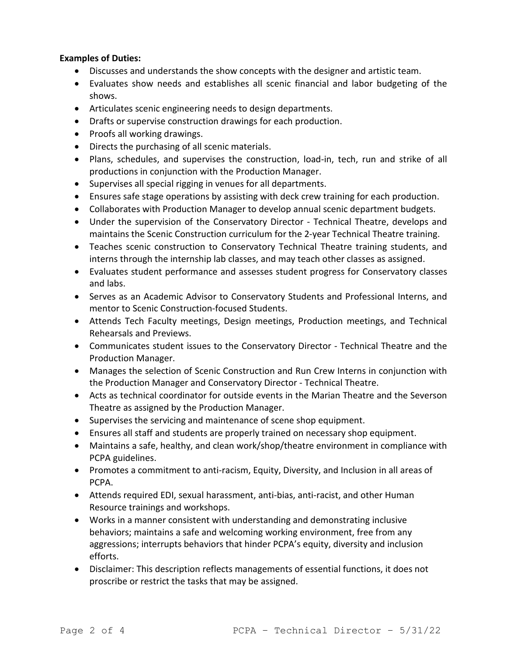# **Examples of Duties:**

- Discusses and understands the show concepts with the designer and artistic team.
- Evaluates show needs and establishes all scenic financial and labor budgeting of the shows.
- Articulates scenic engineering needs to design departments.
- Drafts or supervise construction drawings for each production.
- Proofs all working drawings.
- Directs the purchasing of all scenic materials.
- Plans, schedules, and supervises the construction, load-in, tech, run and strike of all productions in conjunction with the Production Manager.
- Supervises all special rigging in venues for all departments.
- Ensures safe stage operations by assisting with deck crew training for each production.
- Collaborates with Production Manager to develop annual scenic department budgets.
- Under the supervision of the Conservatory Director Technical Theatre, develops and maintains the Scenic Construction curriculum for the 2-year Technical Theatre training.
- Teaches scenic construction to Conservatory Technical Theatre training students, and interns through the internship lab classes, and may teach other classes as assigned.
- Evaluates student performance and assesses student progress for Conservatory classes and labs.
- Serves as an Academic Advisor to Conservatory Students and Professional Interns, and mentor to Scenic Construction-focused Students.
- Attends Tech Faculty meetings, Design meetings, Production meetings, and Technical Rehearsals and Previews.
- Communicates student issues to the Conservatory Director Technical Theatre and the Production Manager.
- Manages the selection of Scenic Construction and Run Crew Interns in conjunction with the Production Manager and Conservatory Director - Technical Theatre.
- Acts as technical coordinator for outside events in the Marian Theatre and the Severson Theatre as assigned by the Production Manager.
- Supervises the servicing and maintenance of scene shop equipment.
- Ensures all staff and students are properly trained on necessary shop equipment.
- Maintains a safe, healthy, and clean work/shop/theatre environment in compliance with PCPA guidelines.
- Promotes a commitment to anti-racism, Equity, Diversity, and Inclusion in all areas of PCPA.
- Attends required EDI, sexual harassment, anti-bias, anti-racist, and other Human Resource trainings and workshops.
- Works in a manner consistent with understanding and demonstrating inclusive behaviors; maintains a safe and welcoming working environment, free from any aggressions; interrupts behaviors that hinder PCPA's equity, diversity and inclusion efforts.
- Disclaimer: This description reflects managements of essential functions, it does not proscribe or restrict the tasks that may be assigned.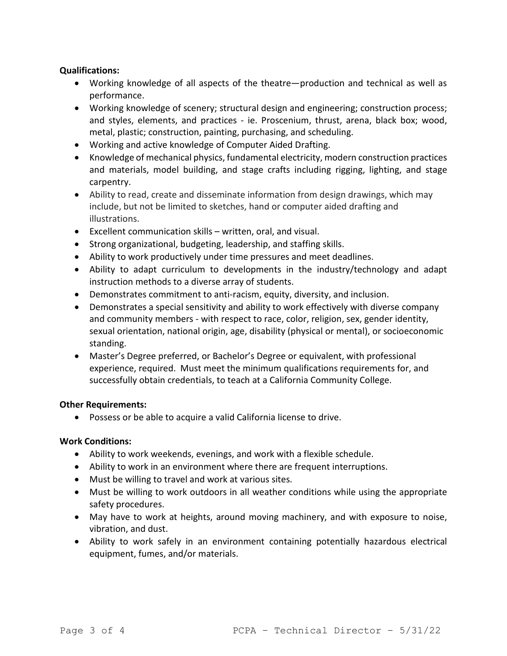### **Qualifications:**

- Working knowledge of all aspects of the theatre—production and technical as well as performance.
- Working knowledge of scenery; structural design and engineering; construction process; and styles, elements, and practices - ie. Proscenium, thrust, arena, black box; wood, metal, plastic; construction, painting, purchasing, and scheduling.
- Working and active knowledge of Computer Aided Drafting.
- Knowledge of mechanical physics, fundamental electricity, modern construction practices and materials, model building, and stage crafts including rigging, lighting, and stage carpentry.
- Ability to read, create and disseminate information from design drawings, which may include, but not be limited to sketches, hand or computer aided drafting and illustrations.
- Excellent communication skills written, oral, and visual.
- Strong organizational, budgeting, leadership, and staffing skills.
- Ability to work productively under time pressures and meet deadlines.
- Ability to adapt curriculum to developments in the industry/technology and adapt instruction methods to a diverse array of students.
- Demonstrates commitment to anti-racism, equity, diversity, and inclusion.
- Demonstrates a special sensitivity and ability to work effectively with diverse company and community members - with respect to race, color, religion, sex, gender identity, sexual orientation, national origin, age, disability (physical or mental), or socioeconomic standing.
- Master's Degree preferred, or Bachelor's Degree or equivalent, with professional experience, required.Must meet the minimum qualifications requirements for, and successfully obtain credentials, to teach at a California Community College.

#### **Other Requirements:**

• Possess or be able to acquire a valid California license to drive.

#### **Work Conditions:**

- Ability to work weekends, evenings, and work with a flexible schedule.
- Ability to work in an environment where there are frequent interruptions.
- Must be willing to travel and work at various sites.
- Must be willing to work outdoors in all weather conditions while using the appropriate safety procedures.
- May have to work at heights, around moving machinery, and with exposure to noise, vibration, and dust.
- Ability to work safely in an environment containing potentially hazardous electrical equipment, fumes, and/or materials.